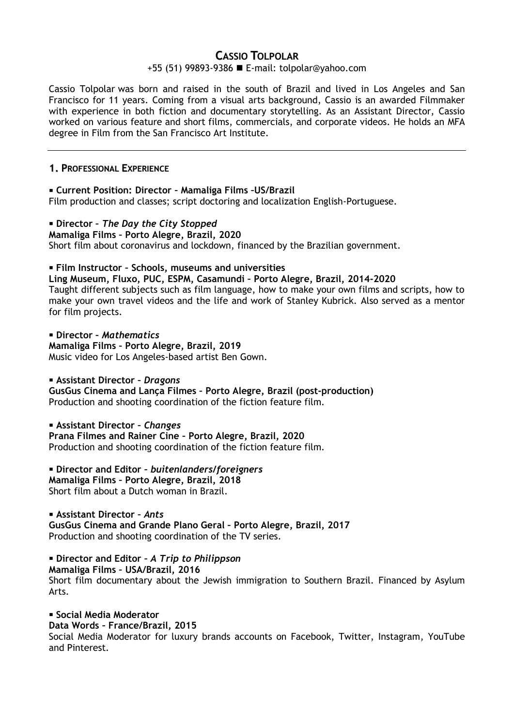# **CASSIO TOLPOLAR**

#### +55 (51) 99893-9386 E-mail: [tolpolar@yahoo.com](mailto:tolpolar@yahoo.com)

Cassio Tolpolar was born and raised in the south of Brazil and lived in Los Angeles and San Francisco for 11 years. Coming from a visual arts background, Cassio is an awarded Filmmaker with experience in both fiction and documentary storytelling. As an Assistant Director, Cassio worked on various feature and short films, commercials, and corporate videos. He holds an MFA degree in Film from the San Francisco Art Institute.

## **1. PROFESSIONAL EXPERIENCE**

 **Current Position: Director – Mamaliga Films –US/Brazil** Film production and classes; script doctoring and localization English-Portuguese.

# **Director –** *The Day the City Stopped*

**Mamaliga Films – Porto Alegre, Brazil, 2020**

Short film about coronavirus and lockdown, financed by the Brazilian government.

## **Film Instructor – Schools, museums and universities**

**Ling Museum, Fluxo, PUC, ESPM, Casamundi – Porto Alegre, Brazil, 2014-2020** Taught different subjects such as film language, how to make your own films and scripts, how to make your own travel videos and the life and work of Stanley Kubrick. Also served as a mentor

for film projects.

 **Director –** *Mathematics* **Mamaliga Films – Porto Alegre, Brazil, 2019** Music video for Los Angeles-based artist Ben Gown.

**Assistant Director –** *Dragons*

**GusGus Cinema and Lança Filmes – Porto Alegre, Brazil (post-production)** Production and shooting coordination of the fiction feature film.

**Assistant Director –** *Changes*

**Prana Filmes and Rainer Cine – Porto Alegre, Brazil, 2020** Production and shooting coordination of the fiction feature film.

**Director and Editor –** *buitenlanders/foreigners*

**Mamaliga Films – Porto Alegre, Brazil, 2018** Short film about a Dutch woman in Brazil.

# **Assistant Director –** *Ants*

**GusGus Cinema and Grande Plano Geral – Porto Alegre, Brazil, 2017** Production and shooting coordination of the TV series.

**Director and Editor –** *A Trip to Philippson*

**Mamaliga Films – USA/Brazil, 2016**

Short film documentary about the Jewish immigration to Southern Brazil. Financed by Asylum Arts.

**Social Media Moderator Data Words – France/Brazil, 2015**

Social Media Moderator for luxury brands accounts on Facebook, Twitter, Instagram, YouTube and Pinterest.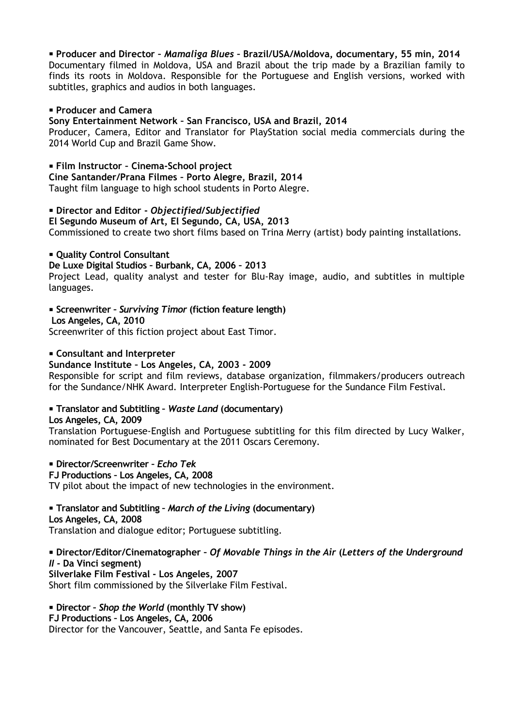## **Producer and Director –** *Mamaliga Blues* **– Brazil/USA/Moldova, documentary, 55 min, 2014**

Documentary filmed in Moldova, USA and Brazil about the trip made by a Brazilian family to finds its roots in Moldova. Responsible for the Portuguese and English versions, worked with subtitles, graphics and audios in both languages.

#### **Producer and Camera**

**Sony Entertainment Network – San Francisco, USA and Brazil, 2014**

Producer, Camera, Editor and Translator for PlayStation social media commercials during the 2014 World Cup and Brazil Game Show.

### **Film Instructor – Cinema-School project**

**Cine Santander/Prana Filmes – Porto Alegre, Brazil, 2014** Taught film language to high school students in Porto Alegre.

#### **Director and Editor -** *Objectified/Subjectified*

**El Segundo Museum of Art, El Segundo, CA, USA, 2013** Commissioned to create two short films based on Trina Merry (artist) body painting installations.

#### **• Ouality Control Consultant**

### **De Luxe Digital Studios – Burbank, CA, 2006 – 2013**

Project Lead, quality analyst and tester for Blu-Ray image, audio, and subtitles in multiple languages.

#### **Screenwriter –** *Surviving Timor* **(fiction feature length)**

**Los Angeles, CA, 2010**

Screenwriter of this fiction project about East Timor.

#### **Consultant and Interpreter**

## **Sundance Institute – Los Angeles, CA, 2003 - 2009**

Responsible for script and film reviews, database organization, filmmakers/producers outreach for the Sundance/NHK Award. Interpreter English-Portuguese for the Sundance Film Festival.

## **Translator and Subtitling –** *Waste Land* **(documentary)**

**Los Angeles, CA, 2009**

Translation Portuguese-English and Portuguese subtitling for this film directed by Lucy Walker, nominated for Best Documentary at the 2011 Oscars Ceremony.

**Director/Screenwriter –** *Echo Tek*

**FJ Productions – Los Angeles, CA, 2008**

TV pilot about the impact of new technologies in the environment.

# **Translator and Subtitling –** *March of the Living* **(documentary) Los Angeles, CA, 2008**

Translation and dialogue editor; Portuguese subtitling.

# **Director/Editor/Cinematographer –** *Of Movable Things in the Air* **(***Letters of the Underground II -* **Da Vinci segment)**

**Silverlake Film Festival - Los Angeles, 2007** Short film commissioned by the Silverlake Film Festival.

#### **Director –** *Shop the World* **(monthly TV show) FJ Productions – Los Angeles, CA, 2006** Director for the Vancouver, Seattle, and Santa Fe episodes.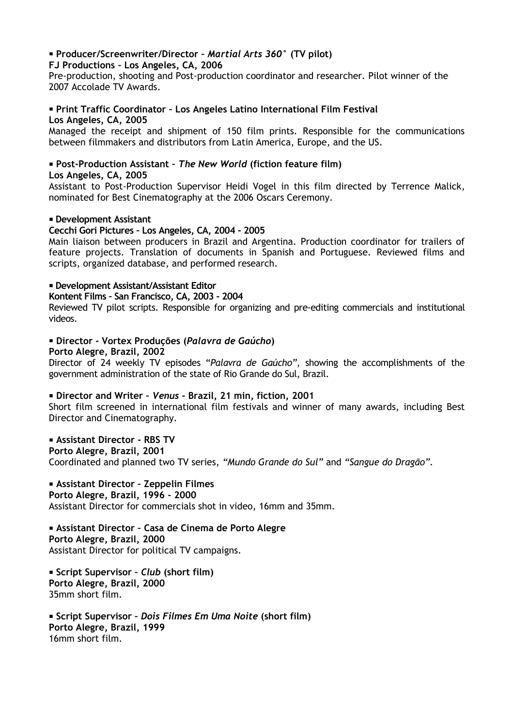# **Producer/Screenwriter/Director –** *Martial Arts 360***° (TV pilot)**

#### **FJ Productions – Los Angeles, CA, 2006**

Pre-production, shooting and Post-production coordinator and researcher. Pilot winner of the 2007 Accolade TV Awards.

#### **Print Traffic Coordinator – Los Angeles Latino International Film Festival Los Angeles, CA, 2005**

Managed the receipt and shipment of 150 film prints. Responsible for the communications between filmmakers and distributors from Latin America, Europe, and the US.

# **Post-Production Assistant –** *The New World* **(fiction feature film)**

#### **Los Angeles, CA, 2005**

Assistant to Post-Production Supervisor Heidi Vogel in this film directed by Terrence Malick, nominated for Best Cinematography at the 2006 Oscars Ceremony.

#### **Development Assistant**

#### **Cecchi Gori Pictures – Los Angeles, CA, 2004 - 2005**

Main liaison between producers in Brazil and Argentina. Production coordinator for trailers of feature projects. Translation of documents in Spanish and Portuguese. Reviewed films and scripts, organized database, and performed research.

#### **Development Assistant/Assistant Editor**

#### **Kontent Films – San Francisco, CA, 2003 - 2004**

Reviewed TV pilot scripts. Responsible for organizing and pre-editing commercials and institutional videos.

#### **Director - Vortex Produções (***Palavra de Gaúcho***)**

#### **Porto Alegre, Brazil, 2002**

Director of 24 weekly TV episodes "*Palavra de Gaúcho"*, showing the accomplishments of the government administration of the state of Rio Grande do Sul, Brazil.

#### **Director and Writer –** *Venus* **- Brazil, 21 min, fiction, 2001**

Short film screened in international film festivals and winner of many awards, including Best Director and Cinematography.

## **Assistant Director - RBS TV**

**Porto Alegre, Brazil, 2001** Coordinated and planned two TV series, *"Mundo Grande do Sul"* and *"Sangue do Dragão".*

# **Assistant Director – Zeppelin Filmes**

**Porto Alegre, Brazil, 1996 - 2000** Assistant Director for commercials shot in video, 16mm and 35mm.

### **Assistant Director – Casa de Cinema de Porto Alegre Porto Alegre, Brazil, 2000** Assistant Director for political TV campaigns.

 **Script Supervisor –** *Club* **(short film) Porto Alegre, Brazil, 2000** 35mm short film.

 **Script Supervisor –** *Dois Filmes Em Uma Noite* **(short film) Porto Alegre, Brazil, 1999** 16mm short film.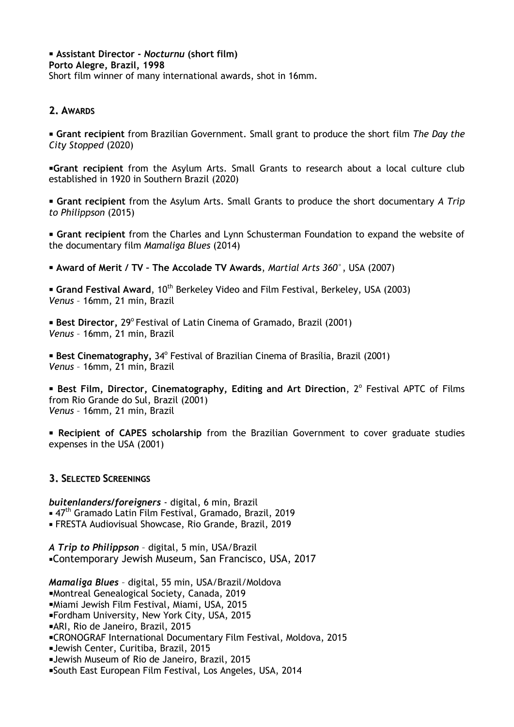**Assistant Director -** *Nocturnu* **(short film) Porto Alegre, Brazil, 1998**

Short film winner of many international awards, shot in 16mm.

# **2. AWARDS**

 **Grant recipient** from Brazilian Government. Small grant to produce the short film *The Day the City Stopped* (2020)

**Grant recipient** from the Asylum Arts. Small Grants to research about a local culture club established in 1920 in Southern Brazil (2020)

 **Grant recipient** from the Asylum Arts. Small Grants to produce the short documentary *A Trip to Philippson* (2015)

 **Grant recipient** from the Charles and Lynn Schusterman Foundation to expand the website of the documentary film *Mamaliga Blues* (2014)

**Award of Merit / TV – The Accolade TV Awards**, *Martial Arts 360*°, USA (2007)

**Grand Festival Award**, 10<sup>th</sup> Berkeley Video and Film Festival, Berkeley, USA (2003) *Venus* – 16mm, 21 min, Brazil

**Best Director, 29<sup>°</sup> Festival of Latin Cinema of Gramado, Brazil (2001)** *Venus* – 16mm, 21 min, Brazil

**Best Cinematography, 34° Festival of Brazilian Cinema of Brasília, Brazil (2001)** *Venus* – 16mm, 21 min, Brazil

**Best Film, Director, Cinematography, Editing and Art Direction, 2<sup>°</sup> Festival APTC of Films** from Rio Grande do Sul, Brazil (2001) *Venus* – 16mm, 21 min, Brazil

 **Recipient of CAPES scholarship** from the Brazilian Government to cover graduate studies expenses in the USA (2001)

# **3. SELECTED SCREENINGS**

*buitenlanders/foreigners* - digital, 6 min, Brazil ■ 47<sup>th</sup> Gramado Latin Film Festival, Gramado, Brazil, 2019 FRESTA Audiovisual Showcase, Rio Grande, Brazil, 2019

*A Trip to Philippson* – digital, 5 min, USA/Brazil Contemporary Jewish Museum, San Francisco, USA, 2017

*Mamaliga Blues* – digital, 55 min, USA/Brazil/Moldova

Montreal Genealogical Society, Canada, 2019

Miami Jewish Film Festival, Miami, USA, 2015

Fordham University, New York City, USA, 2015

- ARI, Rio de Janeiro, Brazil, 2015
- CRONOGRAF International Documentary Film Festival, Moldova, 2015
- Jewish Center, Curitiba, Brazil, 2015

Jewish Museum of Rio de Janeiro, Brazil, 2015

South East European Film Festival, Los Angeles, USA, 2014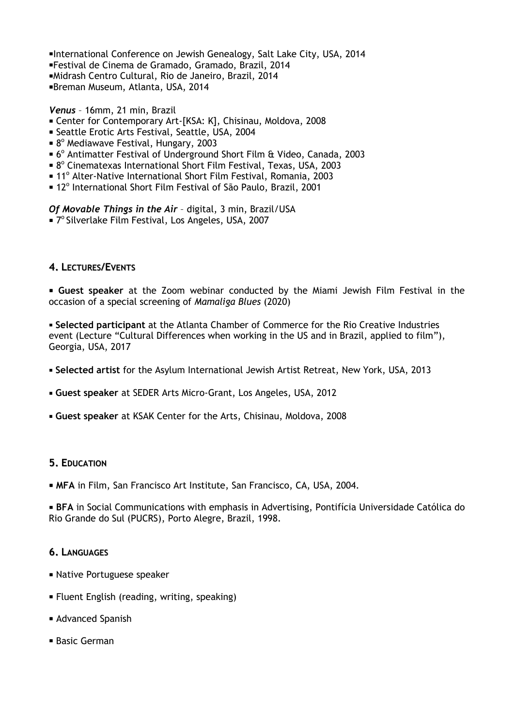International Conference on Jewish Genealogy, Salt Lake City, USA, 2014 Festival de Cinema de Gramado, Gramado, Brazil, 2014 Midrash Centro Cultural, Rio de Janeiro, Brazil, 2014 Breman Museum, Atlanta, USA, 2014

*Venus* – 16mm, 21 min, Brazil

- Center for Contemporary Art-[KSA: K], Chisinau, Moldova, 2008
- Seattle Erotic Arts Festival, Seattle, USA, 2004
- 8º Mediawave Festival, Hungary, 2003
- 6<sup>°</sup> Antimatter Festival of Underground Short Film & Video, Canada, 2003
- 8<sup>°</sup> Cinematexas International Short Film Festival, Texas, USA, 2003
- **In** 11<sup>°</sup> Alter-Native International Short Film Festival, Romania, 2003
- 12<sup>°</sup> International Short Film Festival of São Paulo, Brazil, 2001

*Of Movable Things in the Air* – digital, 3 min, Brazil/USA

■ 7º Silverlake Film Festival, Los Angeles, USA, 2007

## **4. LECTURES/EVENTS**

 **Guest speaker** at the Zoom webinar conducted by the Miami Jewish Film Festival in the occasion of a special screening of *Mamaliga Blues* (2020)

 **Selected participant** at the Atlanta Chamber of Commerce for the Rio Creative Industries event (Lecture "Cultural Differences when working in the US and in Brazil, applied to film"), Georgia, USA, 2017

- **Selected artist** for the Asylum International Jewish Artist Retreat, New York, USA, 2013
- **Guest speaker** at SEDER Arts Micro-Grant, Los Angeles, USA, 2012
- **Guest speaker** at KSAK Center for the Arts, Chisinau, Moldova, 2008

## **5. EDUCATION**

**MFA** in Film, San Francisco Art Institute, San Francisco, CA, USA, 2004.

 **BFA** in Social Communications with emphasis in Advertising, Pontifícia Universidade Católica do Rio Grande do Sul (PUCRS), Porto Alegre, Brazil, 1998.

## **6. LANGUAGES**

- Native Portuguese speaker
- Fluent English (reading, writing, speaking)
- Advanced Spanish
- Basic German